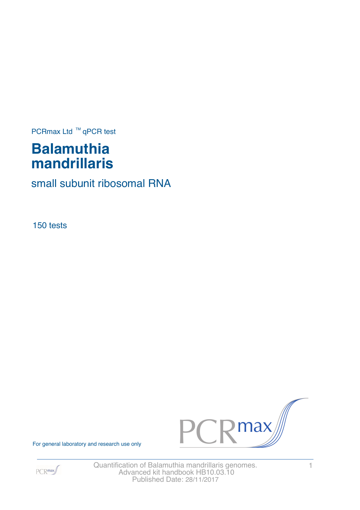PCRmax Ltd  $™$  qPCR test

# **Balamuthia mandrillaris**

small subunit ribosomal RNA

150 tests





For general laboratory and research use only

Quantification of Balamuthia mandrillaris genomes. 1 Advanced kit handbook HB10.03.10 Published Date: 28/11/2017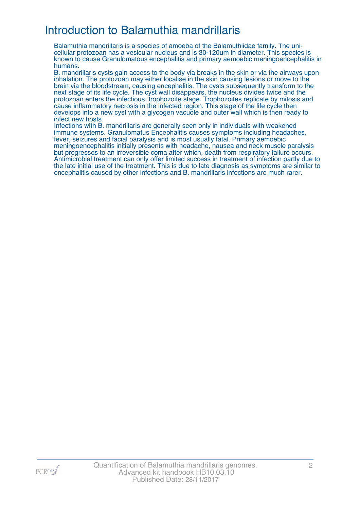### Introduction to Balamuthia mandrillaris

Balamuthia mandrillaris is a species of amoeba of the Balamuthiidae family. The unicellular protozoan has a vesicular nucleus and is 30-120um in diameter. This species is known to cause Granulomatous encephalitis and primary aemoebic meningoencephalitis in humans.

B. mandrillaris cysts gain access to the body via breaks in the skin or via the airways upon inhalation. The protozoan may either localise in the skin causing lesions or move to the brain via the bloodstream, causing encephalitis. The cysts subsequently transform to the next stage of its life cycle. The cyst wall disappears, the nucleus divides twice and the protozoan enters the infectious, trophozoite stage. Trophozoites replicate by mitosis and cause inflammatory necrosis in the infected region. This stage of the life cycle then develops into a new cyst with a glycogen vacuole and outer wall which is then ready to infect new hosts.

Infections with B. mandrillaris are generally seen only in individuals with weakened immune systems. Granulomatus Encephalitis causes symptoms including headaches, fever, seizures and facial paralysis and is most usually fatal. Primary aemoebic meningoencephalitis initially presents with headache, nausea and neck muscle paralysis but progresses to an irreversible coma after which, death from respiratory failure occurs. Antimicrobial treatment can only offer limited success in treatment of infection partly due to the late initial use of the treatment. This is due to late diagnosis as symptoms are similar to encephalitis caused by other infections and B. mandrillaris infections are much rarer.

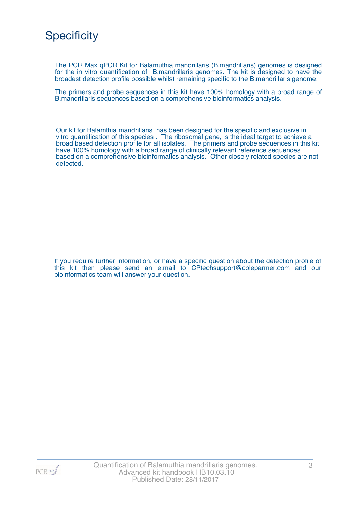### **Specificity**

The PCR Max qPCR Kit for Balamuthia mandrillaris (B.mandrillaris) genomes is designed for the in vitro quantification of B.mandrillaris genomes. The kit is designed to have the broadest detection profile possible whilst remaining specific to the B.mandrillaris genome.

The primers and probe sequences in this kit have 100% homology with a broad range of B.mandrillaris sequences based on a comprehensive bioinformatics analysis.

Our kit for Balamthia mandrillaris has been designed for the specific and exclusive in vitro quantification of this species . The ribosomal gene, is the ideal target to achieve a broad based detection profile for all isolates. The primers and probe sequences in this kit have 100% homology with a broad range of clinically relevant reference sequences based on a comprehensive bioinformatics analysis. Other closely related species are not detected.

If you require further information, or have a specific question about the detection profile of this kit then please send an e.mail to CPtechsupport@coleparmer.com and our bioinformatics team will answer your question.

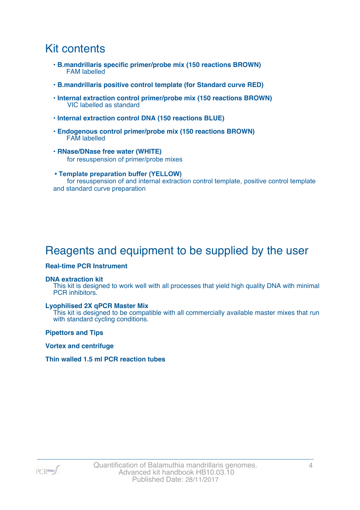### Kit contents

- **B.mandrillaris specific primer/probe mix (150 reactions BROWN)** FAM labelled
- **B.mandrillaris positive control template (for Standard curve RED)**
- **Internal extraction control primer/probe mix (150 reactions BROWN)** VIC labelled as standard
- **Internal extraction control DNA (150 reactions BLUE)**
- **Endogenous control primer/probe mix (150 reactions BROWN)** FAM labelled
- **RNase/DNase free water (WHITE)** for resuspension of primer/probe mixes
- **Template preparation buffer (YELLOW)** for resuspension of and internal extraction control template, positive control template and standard curve preparation

## Reagents and equipment to be supplied by the user

#### **Real-time PCR Instrument**

#### **DNA extraction kit**

This kit is designed to work well with all processes that yield high quality DNA with minimal PCR inhibitors.

#### **Lyophilised 2X qPCR Master Mix**

This kit is designed to be compatible with all commercially available master mixes that run with standard cycling conditions.

**Pipettors and Tips**

**Vortex and centrifuge**

#### **Thin walled 1.5 ml PCR reaction tubes**

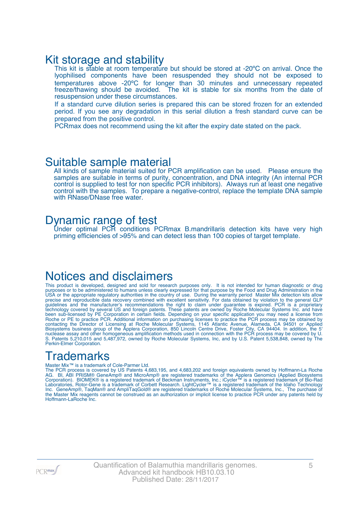### Kit storage and stability

This kit is stable at room temperature but should be stored at -20°C on arrival. Once the lyophilised components have been resuspended they should not be exposed to temperatures above -20ºC for longer than 30 minutes and unnecessary repeated freeze/thawing should be avoided. The kit is stable for six months from the date of resuspension under these circumstances.

If a standard curve dilution series is prepared this can be stored frozen for an extended period. If you see any degradation in this serial dilution a fresh standard curve can be prepared from the positive control.

PCRmax does not recommend using the kit after the expiry date stated on the pack.

### Suitable sample material

All kinds of sample material suited for PCR amplification can be used. Please ensure the samples are suitable in terms of purity, concentration, and DNA integrity (An internal PCR control is supplied to test for non specific PCR inhibitors). Always run at least one negative control with the samples. To prepare a negative-control, replace the template DNA sample with RNase/DNase free water.

### Dynamic range of test

Under optimal PCR conditions PCRmax B.mandrillaris detection kits have very high priming efficiencies of >95% and can detect less than 100 copies of target template.

### Notices and disclaimers

This product is developed, designed and sold for research purposes only. It is not intended for human diagnostic or drug purposes or to be administered to humans unless clearly expressed for that purpose by the Food and Drug Administration in the USA or the appropriate regulatory authorities in the country of use. During the warranty period Master Mix detection kits allow precise and reproducible data recovery combined with excellent sensitivity. For data obtained by violation to the general GLP guidelines and the manufacturer's recommendations the right to claim under guarantee is expired. PCR is a proprietary technology covered by several US and foreign patents. These patents are owned by Roche Molecular Systems Inc. and have been sub-licensed by PE Corporation in certain fields. Depending on your specific application you may need a license from Roche or PE to practice PCR. Additional information on purchasing licenses to practice the PCR process may be obtained by contacting the Director of Licensing at Roche Molecular Systems, 1145 Atlantic Avenue, Alameda, CA 94501 or Applied Biosystems business group of the Applera Corporation, 850 Lincoln Centre Drive, Foster City, CA 94404. In addition, the 5' nuclease assay and other homogeneous amplification methods used in connection with the PCR process may be covered by U. S. Patents 5,210,015 and 5,487,972, owned by Roche Molecular Systems, Inc, and by U.S. Patent 5,538,848, owned by The Perkin-Elmer Corporation.

## **Trademarks**

#### Master Mix™ is a trademark of Cole-Parmer Ltd.

The PCR process is covered by US Patents 4,683,195, and 4,683,202 and foreign equivalents owned by Hoffmann-La Roche AG. BI, ABI PRISM® GeneAmp® and MicroAmp® are registered trademarks of the Applera Genomics (Applied Biosystems Corporation). BIOMEK® is a registered trademark of Beckman Instruments, Inc.; iCycler™ is a registered trademark of Bio-Rad Laboratories, Rotor-Gene is a trademark of Corbett Research. LightCycler™ is a registered trademark of the Idaho Technology Inc. GeneAmp®, TaqMan® and AmpliTaqGold® are registered trademarks of Roche Molecular Systems, Inc., The purchase of the Master Mix reagents cannot be construed as an authorization or implicit license to practice PCR under any patents held by Hoffmann-LaRoche Inc.

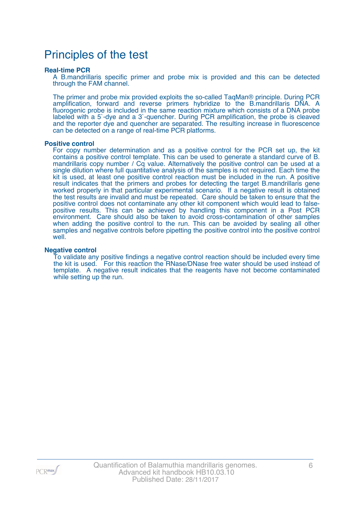### Principles of the test

#### **Real-time PCR**

A B.mandrillaris specific primer and probe mix is provided and this can be detected through the FAM channel.

The primer and probe mix provided exploits the so-called TaqMan® principle. During PCR amplification, forward and reverse primers hybridize to the B.mandrillaris DNA. A fluorogenic probe is included in the same reaction mixture which consists of a DNA probe labeled with a 5`-dye and a 3`-quencher. During PCR amplification, the probe is cleaved and the reporter dye and quencher are separated. The resulting increase in fluorescence can be detected on a range of real-time PCR platforms.

#### **Positive control**

For copy number determination and as a positive control for the PCR set up, the kit contains a positive control template. This can be used to generate a standard curve of B. mandrillaris copy number / Cq value. Alternatively the positive control can be used at a single dilution where full quantitative analysis of the samples is not required. Each time the kit is used, at least one positive control reaction must be included in the run. A positive result indicates that the primers and probes for detecting the target B.mandrillaris gene worked properly in that particular experimental scenario. If a negative result is obtained the test results are invalid and must be repeated. Care should be taken to ensure that the positive control does not contaminate any other kit component which would lead to falsepositive results. This can be achieved by handling this component in a Post PCR environment. Care should also be taken to avoid cross-contamination of other samples when adding the positive control to the run. This can be avoided by sealing all other samples and negative controls before pipetting the positive control into the positive control well.

#### **Negative control**

To validate any positive findings a negative control reaction should be included every time the kit is used. For this reaction the RNase/DNase free water should be used instead of template. A negative result indicates that the reagents have not become contaminated while setting up the run.

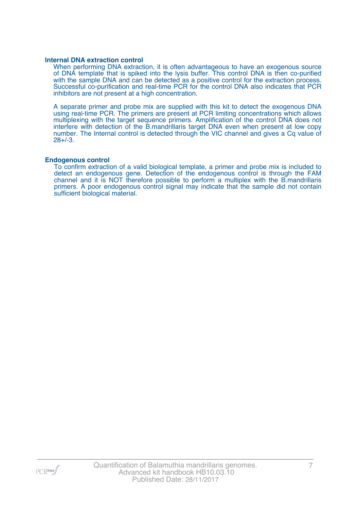#### **Internal DNA extraction control**

When performing DNA extraction, it is often advantageous to have an exogenous source of DNA template that is spiked into the lysis buffer. This control DNA is then co-purified with the sample DNA and can be detected as a positive control for the extraction process. Successful co-purification and real-time PCR for the control DNA also indicates that PCR inhibitors are not present at a high concentration.

A separate primer and probe mix are supplied with this kit to detect the exogenous DNA using real-time PCR. The primers are present at PCR limiting concentrations which allows multiplexing with the target sequence primers. Amplification of the control DNA does not interfere with detection of the B.mandrillaris target DNA even when present at low copy number. The Internal control is detected through the VIC channel and gives a Cq value of 28+/-3.

#### **Endogenous control**

To confirm extraction of a valid biological template, a primer and probe mix is included to detect an endogenous gene. Detection of the endogenous control is through the FAM channel and it is NOT therefore possible to perform a multiplex with the B.mandrillaris primers. A poor endogenous control signal may indicate that the sample did not contain sufficient biological material.

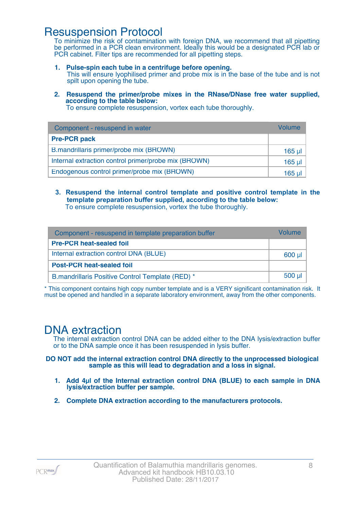### Resuspension Protocol

To minimize the risk of contamination with foreign DNA, we recommend that all pipetting be performed in a PCR clean environment. Ideally this would be a designated PCR lab or PCR cabinet. Filter tips are recommended for all pipetting steps.

- **1. Pulse-spin each tube in a centrifuge before opening.** This will ensure lyophilised primer and probe mix is in the base of the tube and is not spilt upon opening the tube.
- **2. Resuspend the primer/probe mixes in the RNase/DNase free water supplied, according to the table below:**

To ensure complete resuspension, vortex each tube thoroughly.

| Component - resuspend in water                       | Volume  |
|------------------------------------------------------|---------|
| <b>Pre-PCR pack</b>                                  |         |
| B.mandrillaris primer/probe mix (BROWN)              | 165 µl  |
| Internal extraction control primer/probe mix (BROWN) | $165$ µ |
| Endogenous control primer/probe mix (BROWN)          | 165 ul  |

**3. Resuspend the internal control template and positive control template in the template preparation buffer supplied, according to the table below:** To ensure complete resuspension, vortex the tube thoroughly.

| Component - resuspend in template preparation buffer |          |  |
|------------------------------------------------------|----------|--|
| <b>Pre-PCR heat-sealed foil</b>                      |          |  |
| Internal extraction control DNA (BLUE)               | 600 µl   |  |
| <b>Post-PCR heat-sealed foil</b>                     |          |  |
| B.mandrillaris Positive Control Template (RED) *     | $500$ µl |  |

\* This component contains high copy number template and is a VERY significant contamination risk. It must be opened and handled in a separate laboratory environment, away from the other components.

### DNA extraction

The internal extraction control DNA can be added either to the DNA lysis/extraction buffer or to the DNA sample once it has been resuspended in lysis buffer.

**DO NOT add the internal extraction control DNA directly to the unprocessed biological sample as this will lead to degradation and a loss in signal.**

- **1. Add 4µl of the Internal extraction control DNA (BLUE) to each sample in DNA lysis/extraction buffer per sample.**
- **2. Complete DNA extraction according to the manufacturers protocols.**

 $PCR$ <sup>max</sup>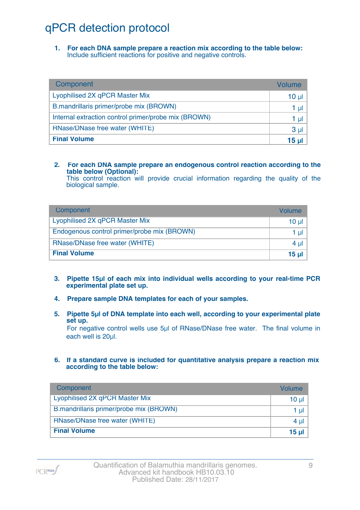## qPCR detection protocol

**1. For each DNA sample prepare a reaction mix according to the table below:** Include sufficient reactions for positive and negative controls.

| Component                                            | Volume          |
|------------------------------------------------------|-----------------|
| Lyophilised 2X qPCR Master Mix                       | 10 <sub>µ</sub> |
| B.mandrillaris primer/probe mix (BROWN)              | 1 µl            |
| Internal extraction control primer/probe mix (BROWN) | 1 µl            |
| RNase/DNase free water (WHITE)                       | 3 <sub>µ</sub>  |
| <b>Final Volume</b>                                  | 15 <sub>µ</sub> |

#### **2. For each DNA sample prepare an endogenous control reaction according to the table below (Optional):**

This control reaction will provide crucial information regarding the quality of the biological sample.

| Component                                   | Volume       |
|---------------------------------------------|--------------|
| Lyophilised 2X qPCR Master Mix              | 10 ul        |
| Endogenous control primer/probe mix (BROWN) | 1 ul         |
| RNase/DNase free water (WHITE)              | 4 ul         |
| <b>Final Volume</b>                         | <u>15 ul</u> |

- **3. Pipette 15µl of each mix into individual wells according to your real-time PCR experimental plate set up.**
- **4. Prepare sample DNA templates for each of your samples.**
- **5. Pipette 5µl of DNA template into each well, according to your experimental plate set up.**

For negative control wells use 5µl of RNase/DNase free water. The final volume in each well is 20ul.

**6. If a standard curve is included for quantitative analysis prepare a reaction mix according to the table below:**

| Component                               | Volume   |
|-----------------------------------------|----------|
| Lyophilised 2X qPCR Master Mix          | $10 \mu$ |
| B.mandrillaris primer/probe mix (BROWN) | 1 µl     |
| RNase/DNase free water (WHITE)          | $4 \mu$  |
| <b>Final Volume</b>                     | $15$ µl  |

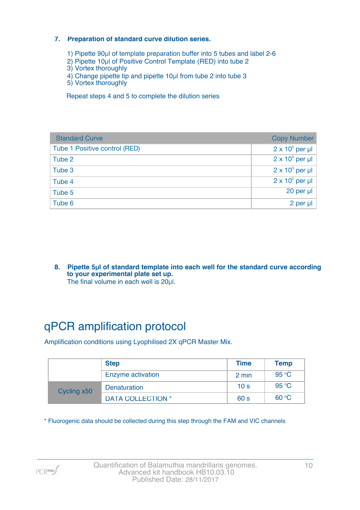#### **7. Preparation of standard curve dilution series.**

- 1) Pipette 90µl of template preparation buffer into 5 tubes and label 2-6
- 2) Pipette 10µl of Positive Control Template (RED) into tube 2
- 3) Vortex thoroughly
- 4) Change pipette tip and pipette 10µl from tube 2 into tube 3
- 5) Vortex thoroughly

Repeat steps 4 and 5 to complete the dilution series

| <b>Standard Curve</b>         | <b>Copy Number</b>     |
|-------------------------------|------------------------|
| Tube 1 Positive control (RED) | $2 \times 10^5$ per µl |
| Tube 2                        | $2 \times 10^4$ per µl |
| Tube 3                        | $2 \times 10^3$ per µl |
| Tube 4                        | $2 \times 10^2$ per µl |
| Tube 5                        | 20 per µl              |
| Tube 6                        | 2 per µl               |

**8. Pipette 5µl of standard template into each well for the standard curve according to your experimental plate set up.** The final volume in each well is 20µl.

## qPCR amplification protocol

Amplification conditions using Lyophilised 2X qPCR Master Mix.

|             | <b>Step</b>              | <b>Time</b>     | <b>Temp</b> |
|-------------|--------------------------|-----------------|-------------|
|             | Enzyme activation        | 2 min           | 95 °C       |
| Cycling x50 | <b>Denaturation</b>      | 10 <sub>s</sub> | 95 °C       |
|             | <b>DATA COLLECTION *</b> | 60 <sub>s</sub> | 60 °C       |

\* Fluorogenic data should be collected during this step through the FAM and VIC channels

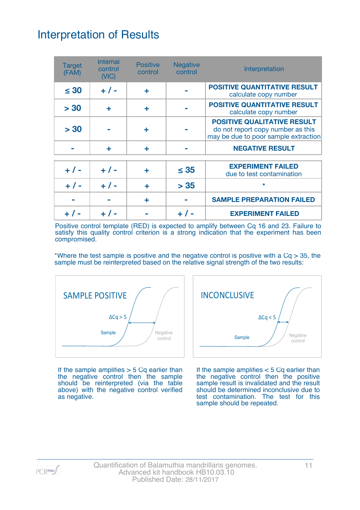## Interpretation of Results

| <b>Target</b><br>(FAM) | <b>Internal</b><br>control<br>(VIC) | <b>Positive</b><br>control | <b>Negative</b><br>control | Interpretation                                                                                                  |
|------------------------|-------------------------------------|----------------------------|----------------------------|-----------------------------------------------------------------------------------------------------------------|
| $\leq 30$              | $+ 1 -$                             | ÷                          |                            | <b>POSITIVE QUANTITATIVE RESULT</b><br>calculate copy number                                                    |
| > 30                   | ÷                                   | ÷                          |                            | <b>POSITIVE QUANTITATIVE RESULT</b><br>calculate copy number                                                    |
| > 30                   |                                     | ÷                          |                            | <b>POSITIVE QUALITATIVE RESULT</b><br>do not report copy number as this<br>may be due to poor sample extraction |
|                        | ÷                                   | ÷                          |                            | <b>NEGATIVE RESULT</b>                                                                                          |
| $+ 1 -$                | $+ 1 -$                             | ٠                          | $\leq$ 35                  | <b>EXPERIMENT FAILED</b><br>due to test contamination                                                           |
| $+ 1 -$                | $+ 1 -$                             | ÷                          | > 35                       | $\star$                                                                                                         |
|                        |                                     | ÷                          |                            | <b>SAMPLE PREPARATION FAILED</b>                                                                                |
|                        |                                     |                            |                            | <b>EXPERIMENT FAILED</b>                                                                                        |

Positive control template (RED) is expected to amplify between Cq 16 and 23. Failure to satisfy this quality control criterion is a strong indication that the experiment has been compromised.

\*Where the test sample is positive and the negative control is positive with a  $Cq > 35$ , the sample must be reinterpreted based on the relative signal strength of the two results:



If the sample amplifies  $> 5$  Cq earlier than the negative control then the sample should be reinterpreted (via the table above) with the negative control verified as negative.



If the sample amplifies < 5 Cq earlier than the negative control then the positive sample result is invalidated and the result should be determined inconclusive due to test contamination. The test for this sample should be repeated.